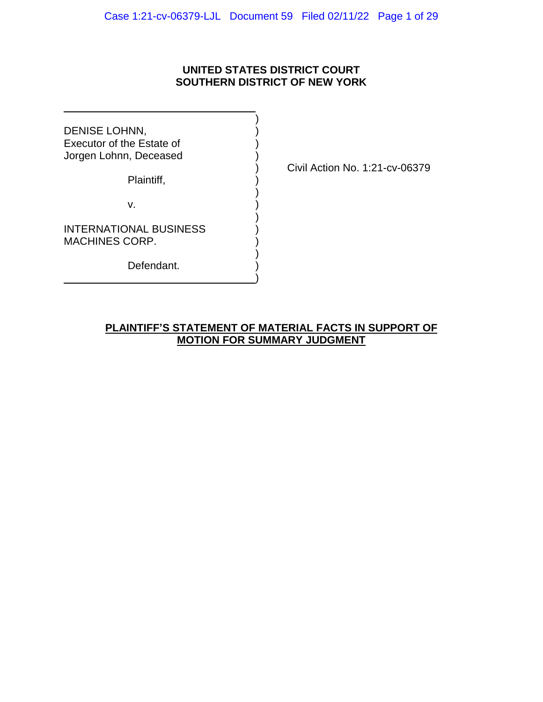# **UNITED STATES DISTRICT COURT SOUTHERN DISTRICT OF NEW YORK**

)

)

)

)

)

DENISE LOHNN, Executor of the Estate of ) Jorgen Lohnn, Deceased )

Plaintiff, )

v. )

INTERNATIONAL BUSINESS MACHINES CORP.

Defendant.

) Civil Action No. 1:21-cv-06379

# **PLAINTIFF'S STATEMENT OF MATERIAL FACTS IN SUPPORT OF MOTION FOR SUMMARY JUDGMENT**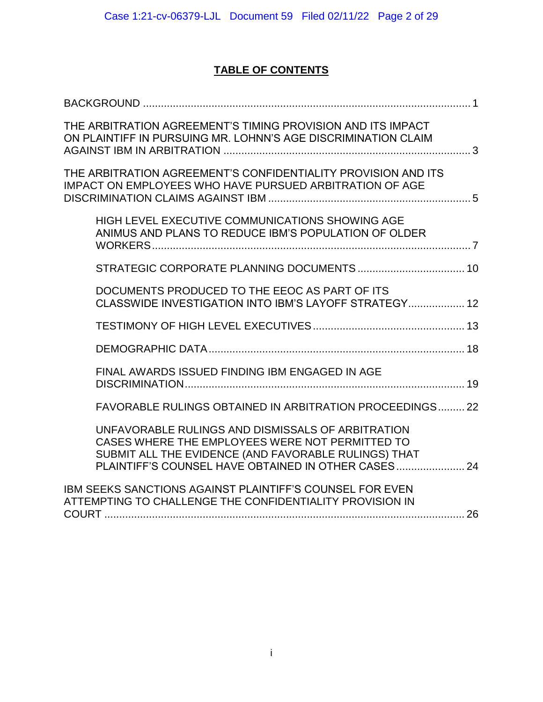# **TABLE OF CONTENTS**

| THE ARBITRATION AGREEMENT'S TIMING PROVISION AND ITS IMPACT<br>ON PLAINTIFF IN PURSUING MR. LOHNN'S AGE DISCRIMINATION CLAIM                                                                                     |  |
|------------------------------------------------------------------------------------------------------------------------------------------------------------------------------------------------------------------|--|
| THE ARBITRATION AGREEMENT'S CONFIDENTIALITY PROVISION AND ITS<br>IMPACT ON EMPLOYEES WHO HAVE PURSUED ARBITRATION OF AGE                                                                                         |  |
| HIGH LEVEL EXECUTIVE COMMUNICATIONS SHOWING AGE<br>ANIMUS AND PLANS TO REDUCE IBM'S POPULATION OF OLDER                                                                                                          |  |
|                                                                                                                                                                                                                  |  |
| DOCUMENTS PRODUCED TO THE EEOC AS PART OF ITS<br>CLASSWIDE INVESTIGATION INTO IBM'S LAYOFF STRATEGY 12                                                                                                           |  |
|                                                                                                                                                                                                                  |  |
|                                                                                                                                                                                                                  |  |
| FINAL AWARDS ISSUED FINDING IBM ENGAGED IN AGE                                                                                                                                                                   |  |
| <b>FAVORABLE RULINGS OBTAINED IN ARBITRATION PROCEEDINGS22</b>                                                                                                                                                   |  |
| UNFAVORABLE RULINGS AND DISMISSALS OF ARBITRATION<br>CASES WHERE THE EMPLOYEES WERE NOT PERMITTED TO<br>SUBMIT ALL THE EVIDENCE (AND FAVORABLE RULINGS) THAT<br>PLAINTIFF'S COUNSEL HAVE OBTAINED IN OTHER CASES |  |
| IBM SEEKS SANCTIONS AGAINST PLAINTIFF'S COUNSEL FOR EVEN<br>ATTEMPTING TO CHALLENGE THE CONFIDENTIALITY PROVISION IN                                                                                             |  |
|                                                                                                                                                                                                                  |  |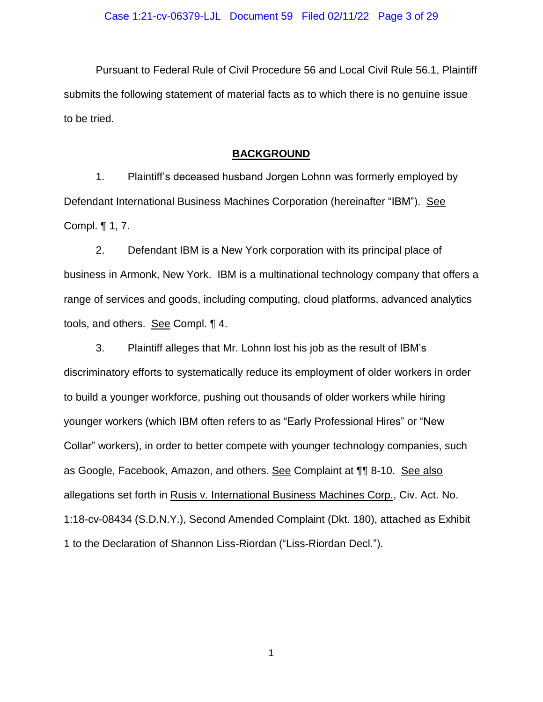Pursuant to Federal Rule of Civil Procedure 56 and Local Civil Rule 56.1, Plaintiff submits the following statement of material facts as to which there is no genuine issue to be tried.

## **BACKGROUND**

<span id="page-2-0"></span>1. Plaintiff"s deceased husband Jorgen Lohnn was formerly employed by Defendant International Business Machines Corporation (hereinafter "IBM"). See Compl. ¶ 1, 7.

2. Defendant IBM is a New York corporation with its principal place of business in Armonk, New York. IBM is a multinational technology company that offers a range of services and goods, including computing, cloud platforms, advanced analytics tools, and others. See Compl. ¶ 4.

3. Plaintiff alleges that Mr. Lohnn lost his job as the result of IBM"s discriminatory efforts to systematically reduce its employment of older workers in order to build a younger workforce, pushing out thousands of older workers while hiring younger workers (which IBM often refers to as "Early Professional Hires" or "New Collar" workers), in order to better compete with younger technology companies, such as Google, Facebook, Amazon, and others. See Complaint at ¶¶ 8-10. See also allegations set forth in Rusis v. International Business Machines Corp., Civ. Act. No. 1:18-cv-08434 (S.D.N.Y.), Second Amended Complaint (Dkt. 180), attached as Exhibit 1 to the Declaration of Shannon Liss-Riordan ("Liss-Riordan Decl.").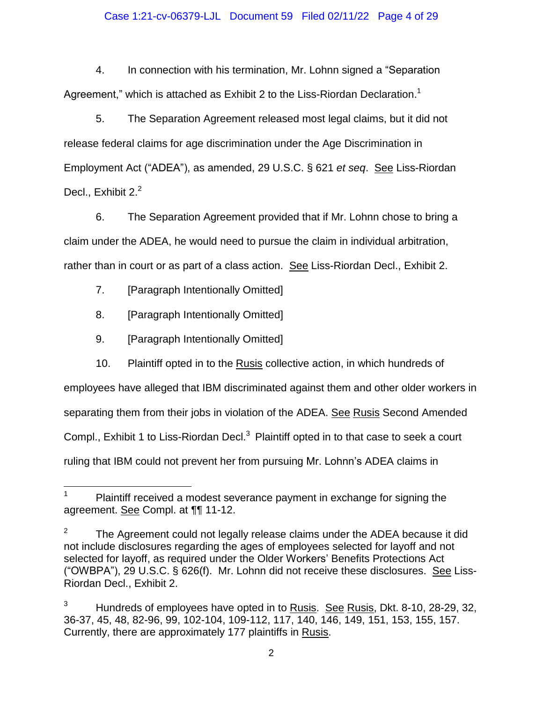## Case 1:21-cv-06379-LJL Document 59 Filed 02/11/22 Page 4 of 29

4. In connection with his termination, Mr. Lohnn signed a "Separation Agreement," which is attached as Exhibit 2 to the Liss-Riordan Declaration.<sup>1</sup>

5. The Separation Agreement released most legal claims, but it did not release federal claims for age discrimination under the Age Discrimination in Employment Act ("ADEA"), as amended, 29 U.S.C. § 621 *et seq*. See Liss-Riordan Decl., Exhibit 2.<sup>2</sup>

6. The Separation Agreement provided that if Mr. Lohnn chose to bring a claim under the ADEA, he would need to pursue the claim in individual arbitration, rather than in court or as part of a class action. See Liss-Riordan Decl., Exhibit 2.

- 7. [Paragraph Intentionally Omitted]
- 8. [Paragraph Intentionally Omitted]
- 9. [Paragraph Intentionally Omitted]

10. Plaintiff opted in to the Rusis collective action, in which hundreds of employees have alleged that IBM discriminated against them and other older workers in separating them from their jobs in violation of the ADEA. See Rusis Second Amended Compl., Exhibit 1 to Liss-Riordan Decl.<sup>3</sup> Plaintiff opted in to that case to seek a court ruling that IBM could not prevent her from pursuing Mr. Lohnn"s ADEA claims in

 $\mathbf{1}$ Plaintiff received a modest severance payment in exchange for signing the agreement. See Compl. at ¶¶ 11-12.

<sup>2</sup> The Agreement could not legally release claims under the ADEA because it did not include disclosures regarding the ages of employees selected for layoff and not selected for layoff, as required under the Older Workers' Benefits Protections Act ("OWBPA"), 29 U.S.C. § 626(f). Mr. Lohnn did not receive these disclosures. See Liss-Riordan Decl., Exhibit 2.

<sup>&</sup>lt;sup>3</sup> Hundreds of employees have opted in to Rusis. See Rusis, Dkt. 8-10, 28-29, 32, 36-37, 45, 48, 82-96, 99, 102-104, 109-112, 117, 140, 146, 149, 151, 153, 155, 157. Currently, there are approximately 177 plaintiffs in Rusis.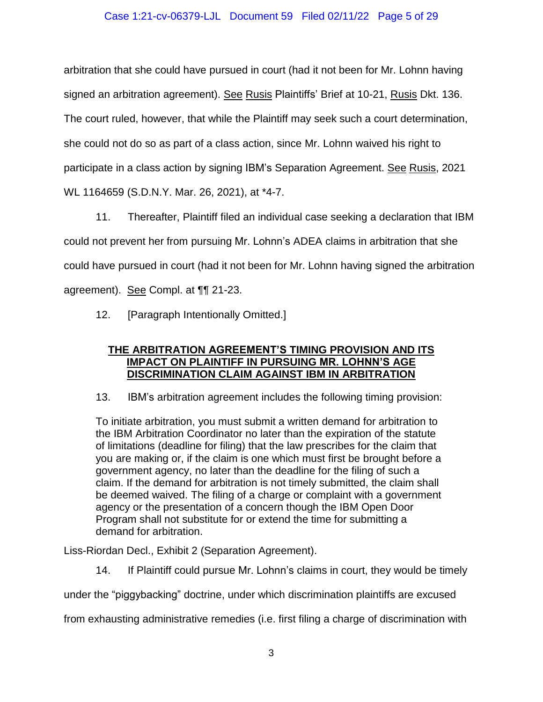## Case 1:21-cv-06379-LJL Document 59 Filed 02/11/22 Page 5 of 29

arbitration that she could have pursued in court (had it not been for Mr. Lohnn having signed an arbitration agreement). See Rusis Plaintiffs" Brief at 10-21, Rusis Dkt. 136. The court ruled, however, that while the Plaintiff may seek such a court determination, she could not do so as part of a class action, since Mr. Lohnn waived his right to participate in a class action by signing IBM"s Separation Agreement. See Rusis, 2021 WL 1164659 (S.D.N.Y. Mar. 26, 2021), at \*4-7.

11. Thereafter, Plaintiff filed an individual case seeking a declaration that IBM could not prevent her from pursuing Mr. Lohnn"s ADEA claims in arbitration that she could have pursued in court (had it not been for Mr. Lohnn having signed the arbitration agreement). See Compl. at ¶¶ 21-23.

<span id="page-4-0"></span>12. [Paragraph Intentionally Omitted.]

# **THE ARBITRATION AGREEMENT'S TIMING PROVISION AND ITS IMPACT ON PLAINTIFF IN PURSUING MR. LOHNN'S AGE DISCRIMINATION CLAIM AGAINST IBM IN ARBITRATION**

13. IBM"s arbitration agreement includes the following timing provision:

To initiate arbitration, you must submit a written demand for arbitration to the IBM Arbitration Coordinator no later than the expiration of the statute of limitations (deadline for filing) that the law prescribes for the claim that you are making or, if the claim is one which must first be brought before a government agency, no later than the deadline for the filing of such a claim. If the demand for arbitration is not timely submitted, the claim shall be deemed waived. The filing of a charge or complaint with a government agency or the presentation of a concern though the IBM Open Door Program shall not substitute for or extend the time for submitting a demand for arbitration.

Liss-Riordan Decl., Exhibit 2 (Separation Agreement).

14. If Plaintiff could pursue Mr. Lohnn"s claims in court, they would be timely

under the "piggybacking" doctrine, under which discrimination plaintiffs are excused

from exhausting administrative remedies (i.e. first filing a charge of discrimination with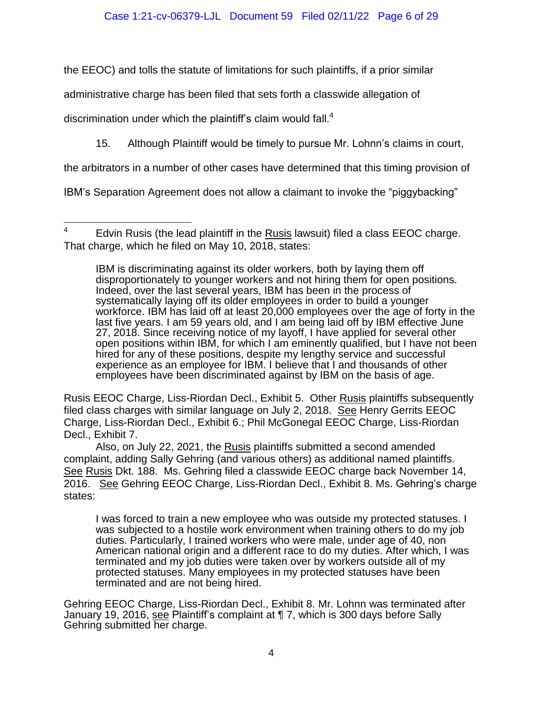the EEOC) and tolls the statute of limitations for such plaintiffs, if a prior similar

administrative charge has been filed that sets forth a classwide allegation of

discrimination under which the plaintiff's claim would fall. $4$ 

15. Although Plaintiff would be timely to pursue Mr. Lohnn"s claims in court,

the arbitrators in a number of other cases have determined that this timing provision of

IBM"s Separation Agreement does not allow a claimant to invoke the "piggybacking"

IBM is discriminating against its older workers, both by laying them off disproportionately to younger workers and not hiring them for open positions. Indeed, over the last several years, IBM has been in the process of systematically laying off its older employees in order to build a younger workforce. IBM has laid off at least 20,000 employees over the age of forty in the last five years. I am 59 years old, and I am being laid off by IBM effective June 27, 2018. Since receiving notice of my layoff, I have applied for several other open positions within IBM, for which I am eminently qualified, but I have not been hired for any of these positions, despite my lengthy service and successful experience as an employee for IBM. I believe that I and thousands of other employees have been discriminated against by IBM on the basis of age.

Rusis EEOC Charge, Liss-Riordan Decl., Exhibit 5. Other Rusis plaintiffs subsequently filed class charges with similar language on July 2, 2018. See Henry Gerrits EEOC Charge, Liss-Riordan Decl., Exhibit 6.; Phil McGonegal EEOC Charge, Liss-Riordan Decl., Exhibit 7.

Also, on July 22, 2021, the Rusis plaintiffs submitted a second amended complaint, adding Sally Gehring (and various others) as additional named plaintiffs. See Rusis Dkt. 188. Ms. Gehring filed a classwide EEOC charge back November 14, 2016. See Gehring EEOC Charge, Liss-Riordan Decl., Exhibit 8. Ms. Gehring"s charge states:

I was forced to train a new employee who was outside my protected statuses. I was subjected to a hostile work environment when training others to do my job duties. Particularly, I trained workers who were male, under age of 40, non American national origin and a different race to do my duties. After which, I was terminated and my job duties were taken over by workers outside all of my protected statuses. Many employees in my protected statuses have been terminated and are not being hired.

Gehring EEOC Charge, Liss-Riordan Decl., Exhibit 8. Mr. Lohnn was terminated after January 19, 2016, see Plaintiff's complaint at ¶ 7, which is 300 days before Sally Gehring submitted her charge.

<sup>4</sup> Edvin Rusis (the lead plaintiff in the Rusis lawsuit) filed a class EEOC charge. That charge, which he filed on May 10, 2018, states: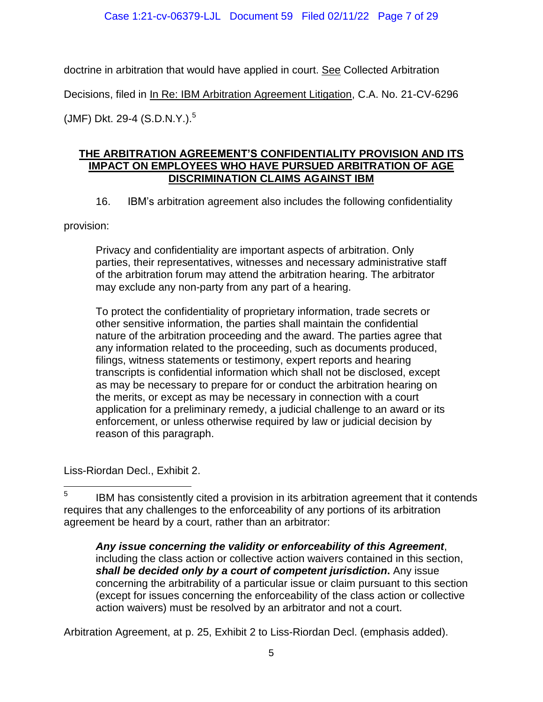doctrine in arbitration that would have applied in court. See Collected Arbitration Decisions, filed in In Re: IBM Arbitration Agreement Litigation, C.A. No. 21-CV-6296 (JMF) Dkt. 29-4 (S.D.N.Y.). 5

# <span id="page-6-0"></span>**THE ARBITRATION AGREEMENT'S CONFIDENTIALITY PROVISION AND ITS IMPACT ON EMPLOYEES WHO HAVE PURSUED ARBITRATION OF AGE DISCRIMINATION CLAIMS AGAINST IBM**

16. IBM"s arbitration agreement also includes the following confidentiality

provision:

Privacy and confidentiality are important aspects of arbitration. Only parties, their representatives, witnesses and necessary administrative staff of the arbitration forum may attend the arbitration hearing. The arbitrator may exclude any non-party from any part of a hearing.

To protect the confidentiality of proprietary information, trade secrets or other sensitive information, the parties shall maintain the confidential nature of the arbitration proceeding and the award. The parties agree that any information related to the proceeding, such as documents produced, filings, witness statements or testimony, expert reports and hearing transcripts is confidential information which shall not be disclosed, except as may be necessary to prepare for or conduct the arbitration hearing on the merits, or except as may be necessary in connection with a court application for a preliminary remedy, a judicial challenge to an award or its enforcement, or unless otherwise required by law or judicial decision by reason of this paragraph.

Liss-Riordan Decl., Exhibit 2.

Arbitration Agreement, at p. 25, Exhibit 2 to Liss-Riordan Decl. (emphasis added).

 5 IBM has consistently cited a provision in its arbitration agreement that it contends requires that any challenges to the enforceability of any portions of its arbitration agreement be heard by a court, rather than an arbitrator:

*Any issue concerning the validity or enforceability of this Agreement*, including the class action or collective action waivers contained in this section, *shall be decided only by a court of competent jurisdiction***.** Any issue concerning the arbitrability of a particular issue or claim pursuant to this section (except for issues concerning the enforceability of the class action or collective action waivers) must be resolved by an arbitrator and not a court.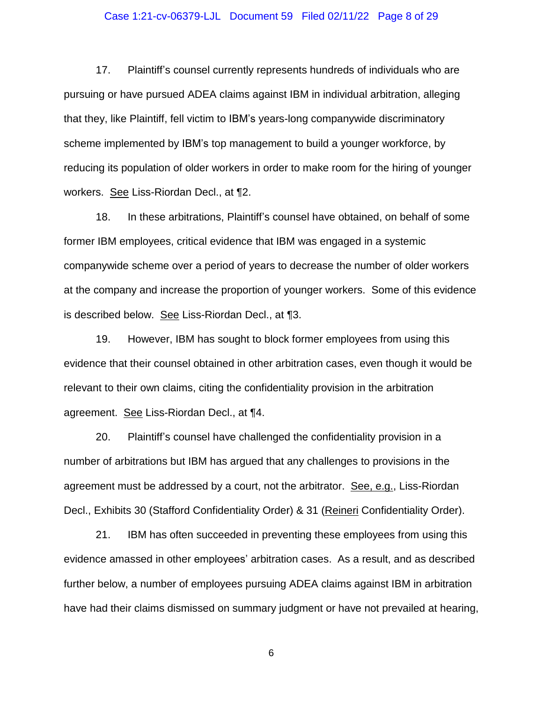#### Case 1:21-cv-06379-LJL Document 59 Filed 02/11/22 Page 8 of 29

17. Plaintiff"s counsel currently represents hundreds of individuals who are pursuing or have pursued ADEA claims against IBM in individual arbitration, alleging that they, like Plaintiff, fell victim to IBM"s years-long companywide discriminatory scheme implemented by IBM"s top management to build a younger workforce, by reducing its population of older workers in order to make room for the hiring of younger workers. See Liss-Riordan Decl., at ¶2.

18. In these arbitrations, Plaintiff"s counsel have obtained, on behalf of some former IBM employees, critical evidence that IBM was engaged in a systemic companywide scheme over a period of years to decrease the number of older workers at the company and increase the proportion of younger workers. Some of this evidence is described below. See Liss-Riordan Decl., at ¶3.

19. However, IBM has sought to block former employees from using this evidence that their counsel obtained in other arbitration cases, even though it would be relevant to their own claims, citing the confidentiality provision in the arbitration agreement. See Liss-Riordan Decl., at ¶4.

20. Plaintiff"s counsel have challenged the confidentiality provision in a number of arbitrations but IBM has argued that any challenges to provisions in the agreement must be addressed by a court, not the arbitrator. See, e.g., Liss-Riordan Decl., Exhibits 30 (Stafford Confidentiality Order) & 31 (Reineri Confidentiality Order).

21. IBM has often succeeded in preventing these employees from using this evidence amassed in other employees" arbitration cases. As a result, and as described further below, a number of employees pursuing ADEA claims against IBM in arbitration have had their claims dismissed on summary judgment or have not prevailed at hearing,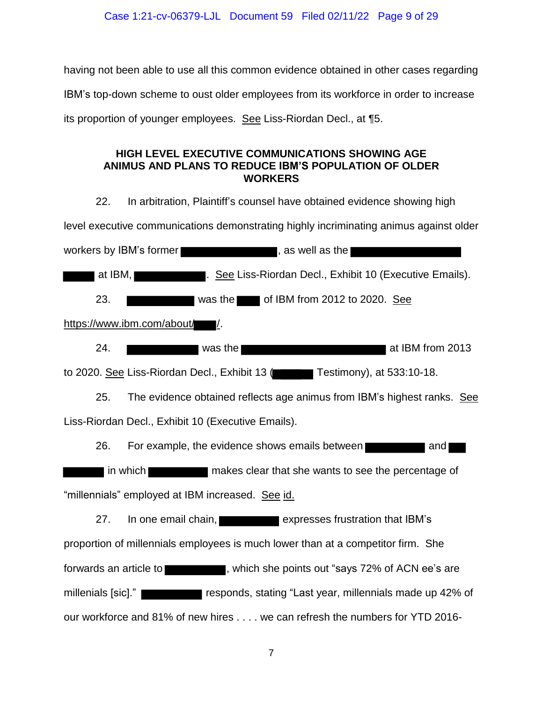having not been able to use all this common evidence obtained in other cases regarding IBM"s top-down scheme to oust older employees from its workforce in order to increase its proportion of younger employees. See Liss-Riordan Decl., at ¶5.

# <span id="page-8-0"></span>**HIGH LEVEL EXECUTIVE COMMUNICATIONS SHOWING AGE ANIMUS AND PLANS TO REDUCE IBM'S POPULATION OF OLDER WORKERS**

22. In arbitration, Plaintiff"s counsel have obtained evidence showing high level executive communications demonstrating highly incriminating animus against older workers by IBM's former  $\blacksquare$ , as well as the  $\blacksquare$ at IBM, **Executive Emails** 1. See Liss-Riordan Decl., Exhibit 10 (Executive Emails). 23.  $\blacksquare$  was the of IBM from 2012 to 2020. See https://www.ibm.com/about/ 24. Was the **at IBM from 2013** to 2020. See Liss-Riordan Decl., Exhibit 13 (The Testimony), at 533:10-18. 25. The evidence obtained reflects age animus from IBM"s highest ranks. See Liss-Riordan Decl., Exhibit 10 (Executive Emails). 26. For example, the evidence shows emails between **The Contract Contract and Theory** If in which **the makes clear that she wants to see the percentage of** "millennials" employed at IBM increased. See id. 27. In one email chain, **Expresses frustration that IBM's** proportion of millennials employees is much lower than at a competitor firm. She forwards an article to  $\blacksquare$ , which she points out "says 72% of ACN ee's are millenials [sic]." responds, stating "Last year, millennials made up 42% of our workforce and 81% of new hires . . . . we can refresh the numbers for YTD 2016-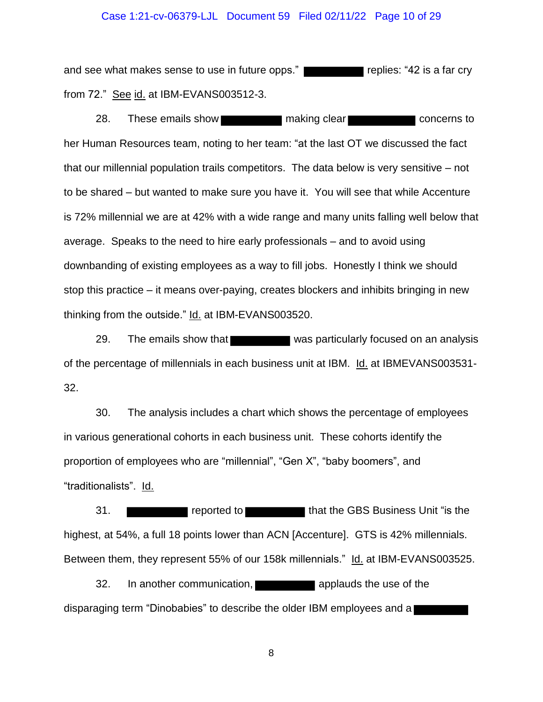#### Case 1:21-cv-06379-LJL Document 59 Filed 02/11/22 Page 10 of 29

and see what makes sense to use in future opps." from 72." See id. at IBM-EVANS003512-3.

28. These emails show making clear making clear concerns to her Human Resources team, noting to her team: "at the last OT we discussed the fact that our millennial population trails competitors. The data below is very sensitive – not to be shared – but wanted to make sure you have it. You will see that while Accenture is 72% millennial we are at 42% with a wide range and many units falling well below that average. Speaks to the need to hire early professionals – and to avoid using downbanding of existing employees as a way to fill jobs. Honestly I think we should stop this practice – it means over-paying, creates blockers and inhibits bringing in new thinking from the outside." Id. at IBM-EVANS003520.

29. The emails show that was particularly focused on an analysis of the percentage of millennials in each business unit at IBM. Id. at IBMEVANS003531- 32.

30. The analysis includes a chart which shows the percentage of employees in various generational cohorts in each business unit. These cohorts identify the proportion of employees who are "millennial", "Gen X", "baby boomers", and "traditionalists". Id.

31. **The CBS Business Unit "is the GBS Business Unit "is the GBS** highest, at 54%, a full 18 points lower than ACN [Accenture]. GTS is 42% millennials. Between them, they represent 55% of our 158k millennials." Id. at IBM-EVANS003525.

32. In another communication, **and in the use of the use of the use of the** disparaging term "Dinobabies" to describe the older IBM employees and a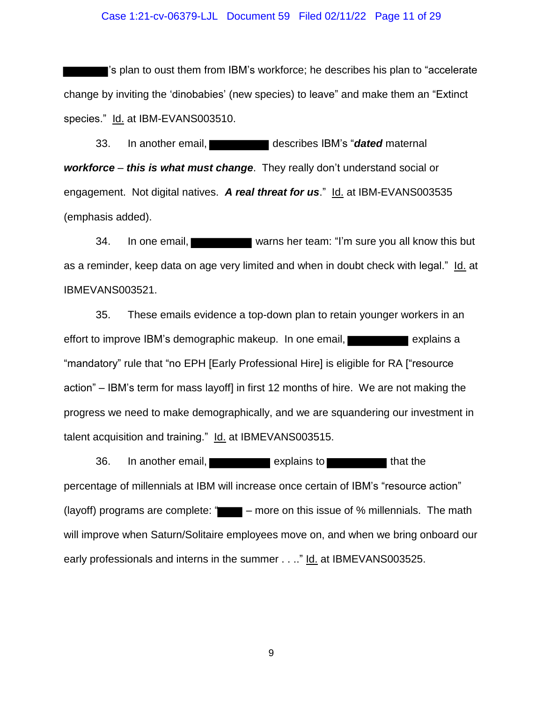#### Case 1:21-cv-06379-LJL Document 59 Filed 02/11/22 Page 11 of 29

"s plan to oust them from IBM"s workforce; he describes his plan to "accelerate change by inviting the "dinobabies" (new species) to leave" and make them an "Extinct species." Id. at IBM-EVANS003510.

33. In another email, describes IBM"s "*dated* maternal *workforce* – *this is what must change*. They really don"t understand social or engagement. Not digital natives. *A real threat for us*." Id. at IBM-EVANS003535 (emphasis added).

34. In one email, warns her team: "I"m sure you all know this but as a reminder, keep data on age very limited and when in doubt check with legal." Id. at IBMEVANS003521.

35. These emails evidence a top-down plan to retain younger workers in an effort to improve IBM's demographic makeup. In one email, **explaint and intervaller** explains a "mandatory" rule that "no EPH [Early Professional Hire] is eligible for RA ["resource action" – IBM"s term for mass layoff] in first 12 months of hire. We are not making the progress we need to make demographically, and we are squandering our investment in talent acquisition and training." Id. at IBMEVANS003515.

36. In another email, **Explains to that the set of that the** percentage of millennials at IBM will increase once certain of IBM"s "resource action" (layoff) programs are complete: " $\blacksquare$  – more on this issue of % millennials. The math will improve when Saturn/Solitaire employees move on, and when we bring onboard our early professionals and interns in the summer . . .." Id. at IBMEVANS003525.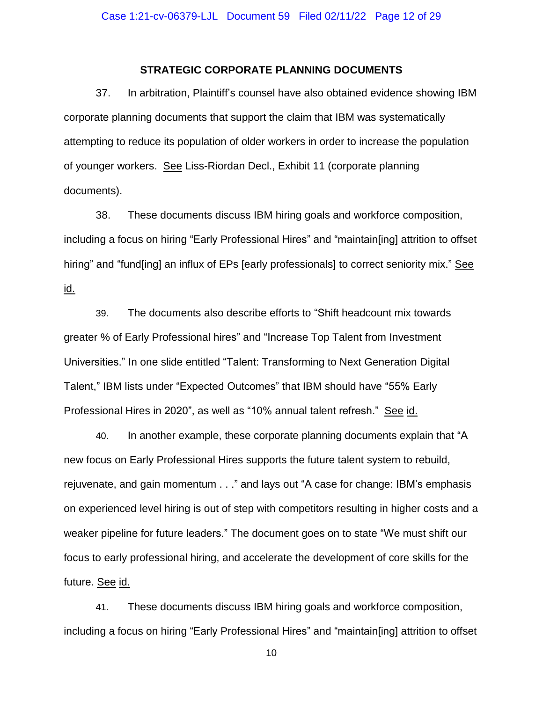## **STRATEGIC CORPORATE PLANNING DOCUMENTS**

<span id="page-11-0"></span>37. In arbitration, Plaintiff"s counsel have also obtained evidence showing IBM corporate planning documents that support the claim that IBM was systematically attempting to reduce its population of older workers in order to increase the population of younger workers. See Liss-Riordan Decl., Exhibit 11 (corporate planning documents).

38. These documents discuss IBM hiring goals and workforce composition, including a focus on hiring "Early Professional Hires" and "maintain[ing] attrition to offset hiring" and "fund[ing] an influx of EPs [early professionals] to correct seniority mix." See id.

39. The documents also describe efforts to "Shift headcount mix towards greater % of Early Professional hires" and "Increase Top Talent from Investment Universities." In one slide entitled "Talent: Transforming to Next Generation Digital Talent," IBM lists under "Expected Outcomes" that IBM should have "55% Early Professional Hires in 2020", as well as "10% annual talent refresh." See id.

40. In another example, these corporate planning documents explain that "A new focus on Early Professional Hires supports the future talent system to rebuild, rejuvenate, and gain momentum . . ." and lays out "A case for change: IBM"s emphasis on experienced level hiring is out of step with competitors resulting in higher costs and a weaker pipeline for future leaders." The document goes on to state "We must shift our focus to early professional hiring, and accelerate the development of core skills for the future. See id.

41. These documents discuss IBM hiring goals and workforce composition, including a focus on hiring "Early Professional Hires" and "maintain[ing] attrition to offset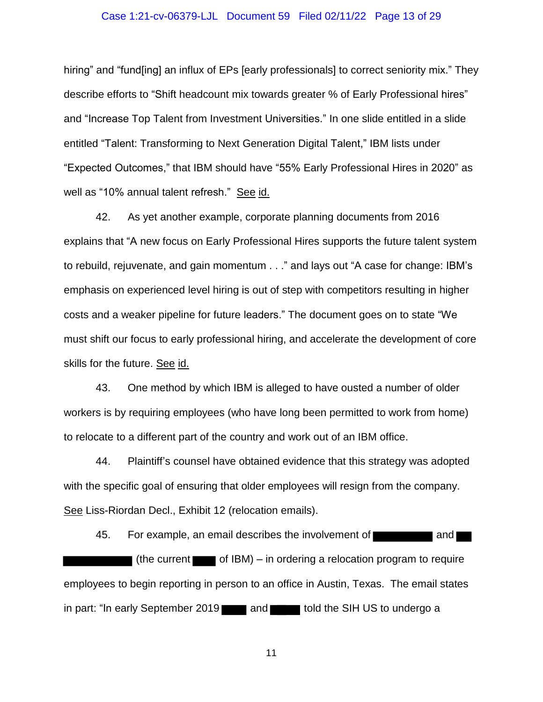#### Case 1:21-cv-06379-LJL Document 59 Filed 02/11/22 Page 13 of 29

hiring" and "fund[ing] an influx of EPs [early professionals] to correct seniority mix." They describe efforts to "Shift headcount mix towards greater % of Early Professional hires" and "Increase Top Talent from Investment Universities." In one slide entitled in a slide entitled "Talent: Transforming to Next Generation Digital Talent," IBM lists under "Expected Outcomes," that IBM should have "55% Early Professional Hires in 2020" as well as "10% annual talent refresh." See id.

42. As yet another example, corporate planning documents from 2016 explains that "A new focus on Early Professional Hires supports the future talent system to rebuild, rejuvenate, and gain momentum . . ." and lays out "A case for change: IBM"s emphasis on experienced level hiring is out of step with competitors resulting in higher costs and a weaker pipeline for future leaders." The document goes on to state "We must shift our focus to early professional hiring, and accelerate the development of core skills for the future. See id.

43. One method by which IBM is alleged to have ousted a number of older workers is by requiring employees (who have long been permitted to work from home) to relocate to a different part of the country and work out of an IBM office.

44. Plaintiff"s counsel have obtained evidence that this strategy was adopted with the specific goal of ensuring that older employees will resign from the company. See Liss-Riordan Decl., Exhibit 12 (relocation emails).

45. For example, an email describes the involvement of **Fig. 1.** and (the current  $\Box$  of IBM) – in ordering a relocation program to require employees to begin reporting in person to an office in Austin, Texas. The email states in part: "In early September 2019 and told the SIH US to undergo a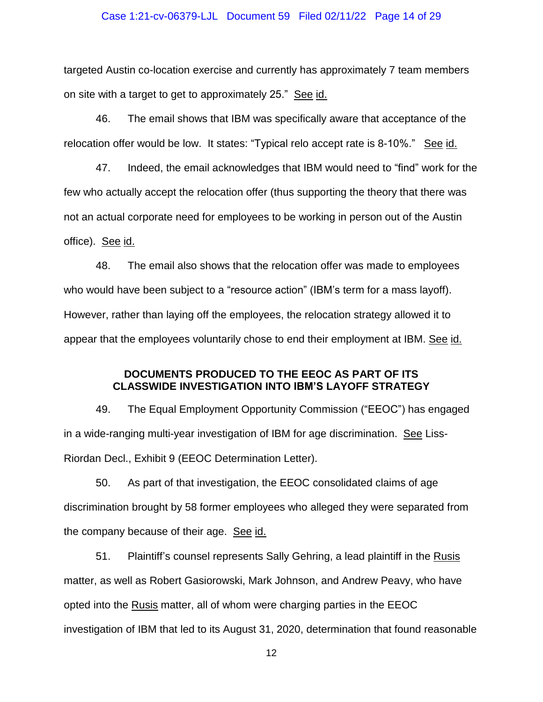#### Case 1:21-cv-06379-LJL Document 59 Filed 02/11/22 Page 14 of 29

targeted Austin co-location exercise and currently has approximately 7 team members on site with a target to get to approximately 25." See id.

46. The email shows that IBM was specifically aware that acceptance of the relocation offer would be low. It states: "Typical relo accept rate is 8-10%." See id.

47. Indeed, the email acknowledges that IBM would need to "find" work for the few who actually accept the relocation offer (thus supporting the theory that there was not an actual corporate need for employees to be working in person out of the Austin office). See id.

48. The email also shows that the relocation offer was made to employees who would have been subject to a "resource action" (IBM's term for a mass layoff). However, rather than laying off the employees, the relocation strategy allowed it to appear that the employees voluntarily chose to end their employment at IBM. See id.

# **DOCUMENTS PRODUCED TO THE EEOC AS PART OF ITS CLASSWIDE INVESTIGATION INTO IBM'S LAYOFF STRATEGY**

<span id="page-13-0"></span>49. The Equal Employment Opportunity Commission ("EEOC") has engaged in a wide-ranging multi-year investigation of IBM for age discrimination. See Liss-Riordan Decl., Exhibit 9 (EEOC Determination Letter).

50. As part of that investigation, the EEOC consolidated claims of age discrimination brought by 58 former employees who alleged they were separated from the company because of their age. See id.

51. Plaintiff"s counsel represents Sally Gehring, a lead plaintiff in the Rusis matter, as well as Robert Gasiorowski, Mark Johnson, and Andrew Peavy, who have opted into the Rusis matter, all of whom were charging parties in the EEOC investigation of IBM that led to its August 31, 2020, determination that found reasonable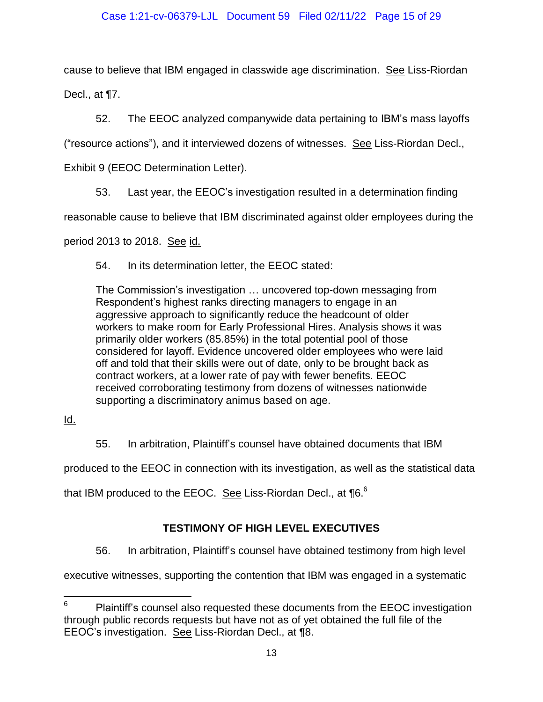cause to believe that IBM engaged in classwide age discrimination. See Liss-Riordan Decl., at ¶7.

52. The EEOC analyzed companywide data pertaining to IBM"s mass layoffs

("resource actions"), and it interviewed dozens of witnesses. See Liss-Riordan Decl.,

Exhibit 9 (EEOC Determination Letter).

53. Last year, the EEOC"s investigation resulted in a determination finding

reasonable cause to believe that IBM discriminated against older employees during the

period 2013 to 2018. See id.

54. In its determination letter, the EEOC stated:

The Commission"s investigation … uncovered top-down messaging from Respondent"s highest ranks directing managers to engage in an aggressive approach to significantly reduce the headcount of older workers to make room for Early Professional Hires. Analysis shows it was primarily older workers (85.85%) in the total potential pool of those considered for layoff. Evidence uncovered older employees who were laid off and told that their skills were out of date, only to be brought back as contract workers, at a lower rate of pay with fewer benefits. EEOC received corroborating testimony from dozens of witnesses nationwide supporting a discriminatory animus based on age.

Id.

55. In arbitration, Plaintiff"s counsel have obtained documents that IBM

produced to the EEOC in connection with its investigation, as well as the statistical data

<span id="page-14-0"></span>that IBM produced to the EEOC. See Liss-Riordan Decl., at 16.<sup>6</sup>

# **TESTIMONY OF HIGH LEVEL EXECUTIVES**

56. In arbitration, Plaintiff"s counsel have obtained testimony from high level

executive witnesses, supporting the contention that IBM was engaged in a systematic

 $6\overline{6}$ Plaintiff's counsel also requested these documents from the EEOC investigation through public records requests but have not as of yet obtained the full file of the EEOC"s investigation. See Liss-Riordan Decl., at ¶8.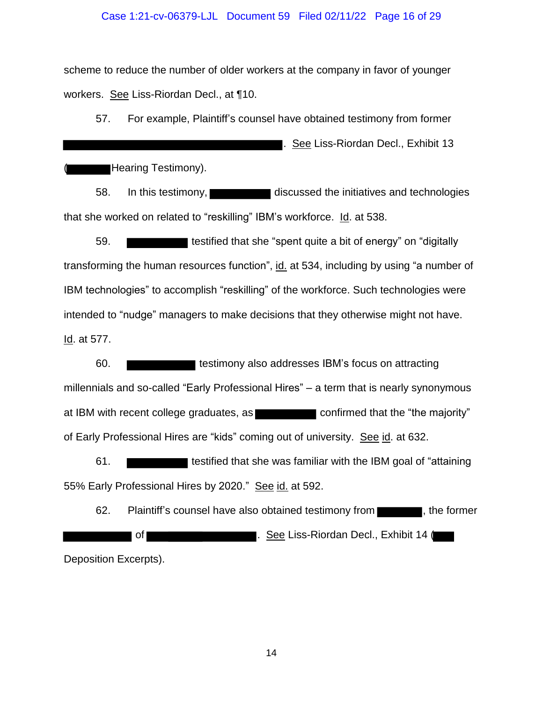#### Case 1:21-cv-06379-LJL Document 59 Filed 02/11/22 Page 16 of 29

scheme to reduce the number of older workers at the company in favor of younger workers. See Liss-Riordan Decl., at ¶10.

57. For example, Plaintiff"s counsel have obtained testimony from former

. See Liss-Riordan Decl., Exhibit 13

Hearing Testimony).

58. In this testimony, discussed the initiatives and technologies that she worked on related to "reskilling" IBM"s workforce. Id. at 538.

59. **The solution of that she** "spent quite a bit of energy" on "digitally" transforming the human resources function", id. at 534, including by using "a number of IBM technologies" to accomplish "reskilling" of the workforce. Such technologies were intended to "nudge" managers to make decisions that they otherwise might not have. Id. at 577.

60. millennials and so-called "Early Professional Hires" – a term that is nearly synonymous at IBM with recent college graduates, as confirmed that the "the majority" of Early Professional Hires are "kids" coming out of university. See id. at 632.

61. **The solution of that she was familiar with the IBM goal of "attaining"** 55% Early Professional Hires by 2020." See id. at 592.

62. Plaintiff's counsel have also obtained testimony from  $\blacksquare$ , the former of **Exhibit 14** Contract Liss-Riordan Decl., Exhibit 14 ( Deposition Excerpts).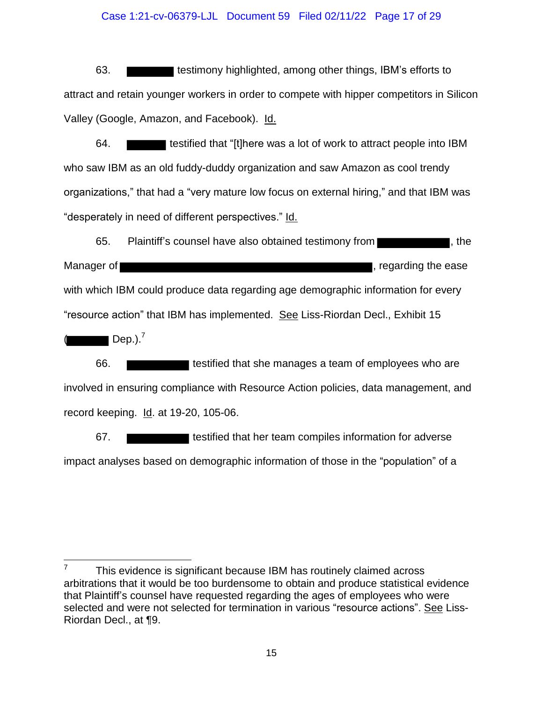#### Case 1:21-cv-06379-LJL Document 59 Filed 02/11/22 Page 17 of 29

63. **the summan is estimony highlighted, among other things, IBM's efforts to** attract and retain younger workers in order to compete with hipper competitors in Silicon Valley (Google, Amazon, and Facebook). Id.

64. **the status of that "**[t]here was a lot of work to attract people into IBM who saw IBM as an old fuddy-duddy organization and saw Amazon as cool trendy organizations," that had a "very mature low focus on external hiring," and that IBM was "desperately in need of different perspectives." Id.

65. Plaintiff's counsel have also obtained testimony from **the state of the state of the state of the state of the** Manager of **the ease of the ease** , regarding the ease with which IBM could produce data regarding age demographic information for every "resource action" that IBM has implemented. See Liss-Riordan Decl., Exhibit 15  $\sqrt{ }$  Dep.).<sup>7</sup>

66. **the state of that she manages a team of employees who are** involved in ensuring compliance with Resource Action policies, data management, and record keeping. Id. at 19-20, 105-06.

67. **the set in testified that her team compiles information for adverse** impact analyses based on demographic information of those in the "population" of a

 7 This evidence is significant because IBM has routinely claimed across arbitrations that it would be too burdensome to obtain and produce statistical evidence that Plaintiff"s counsel have requested regarding the ages of employees who were selected and were not selected for termination in various "resource actions". See Liss-Riordan Decl., at ¶9.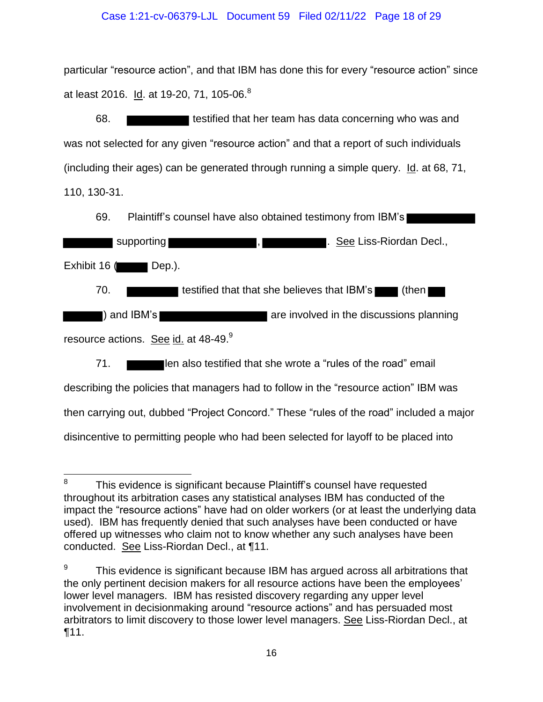## Case 1:21-cv-06379-LJL Document 59 Filed 02/11/22 Page 18 of 29

particular "resource action", and that IBM has done this for every "resource action" since at least 2016. I<u>d</u>. at 19-20, 71, 105-06.<sup>8</sup>

68. **the set is testified that her team has data concerning who was and** was not selected for any given "resource action" and that a report of such individuals (including their ages) can be generated through running a simple query. Id. at 68, 71, 110, 130-31.

69. Plaintiff"s counsel have also obtained testimony from IBM"s

 supporting , . See Liss-Riordan Decl., Exhibit  $16$  (Dep.). 70. **The solution is that that she believes that IBM's** (then are involved in the discussions planning are involved in the discussions planning resource actions. See id. at 48-49.<sup>9</sup> 71. **If also testified that she wrote a "rules of the road" email** describing the policies that managers had to follow in the "resource action" IBM was then carrying out, dubbed "Project Concord." These "rules of the road" included a major

disincentive to permitting people who had been selected for layoff to be placed into

<sup>-&</sup>lt;br>8 This evidence is significant because Plaintiff"s counsel have requested throughout its arbitration cases any statistical analyses IBM has conducted of the impact the "resource actions" have had on older workers (or at least the underlying data used). IBM has frequently denied that such analyses have been conducted or have offered up witnesses who claim not to know whether any such analyses have been conducted. See Liss-Riordan Decl., at ¶11.

<sup>9</sup> This evidence is significant because IBM has argued across all arbitrations that the only pertinent decision makers for all resource actions have been the employees" lower level managers. IBM has resisted discovery regarding any upper level involvement in decisionmaking around "resource actions" and has persuaded most arbitrators to limit discovery to those lower level managers. See Liss-Riordan Decl., at ¶11.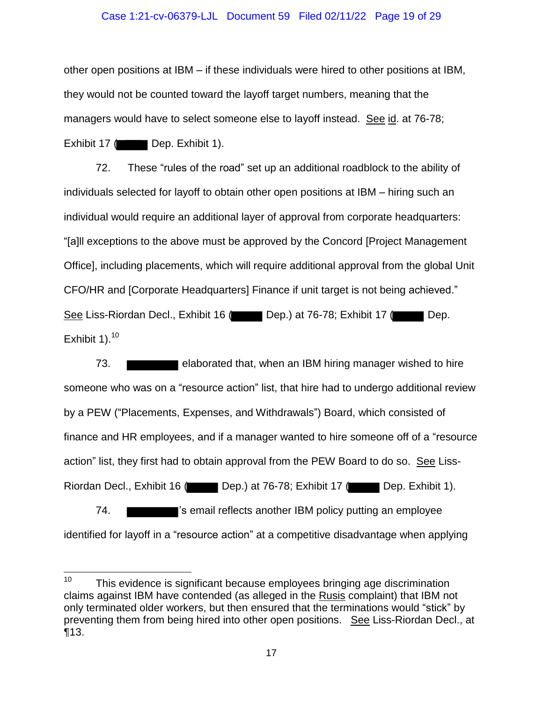#### Case 1:21-cv-06379-LJL Document 59 Filed 02/11/22 Page 19 of 29

other open positions at IBM – if these individuals were hired to other positions at IBM, they would not be counted toward the layoff target numbers, meaning that the managers would have to select someone else to layoff instead. See id. at 76-78; Exhibit 17 ( Dep. Exhibit 1).

72. These "rules of the road" set up an additional roadblock to the ability of individuals selected for layoff to obtain other open positions at IBM – hiring such an individual would require an additional layer of approval from corporate headquarters: "[a]ll exceptions to the above must be approved by the Concord [Project Management Office], including placements, which will require additional approval from the global Unit CFO/HR and [Corporate Headquarters] Finance if unit target is not being achieved." See Liss-Riordan Decl., Exhibit 16 ( Dep.) at 76-78; Exhibit 17 ( Dep. Exhibit 1). $10^{-}$ 

73. elaborated that, when an IBM hiring manager wished to hire someone who was on a "resource action" list, that hire had to undergo additional review by a PEW ("Placements, Expenses, and Withdrawals") Board, which consisted of finance and HR employees, and if a manager wanted to hire someone off of a "resource action" list, they first had to obtain approval from the PEW Board to do so. See Liss-Riordan Decl., Exhibit 16 ( Dep.) at 76-78; Exhibit 17 ( Dep. Exhibit 1). 74. **The same of the Studio Studio is a studio of the Studio Studio Studio Studio Studio Studio Studio Studio Studio Studio Studio Studio Studio Studio Studio Studio Studio Studio Studio Studio Studio Studio Studio Studio** 

identified for layoff in a "resource action" at a competitive disadvantage when applying

 $10<sub>1</sub>$ This evidence is significant because employees bringing age discrimination claims against IBM have contended (as alleged in the Rusis complaint) that IBM not only terminated older workers, but then ensured that the terminations would "stick" by preventing them from being hired into other open positions. See Liss-Riordan Decl., at ¶13.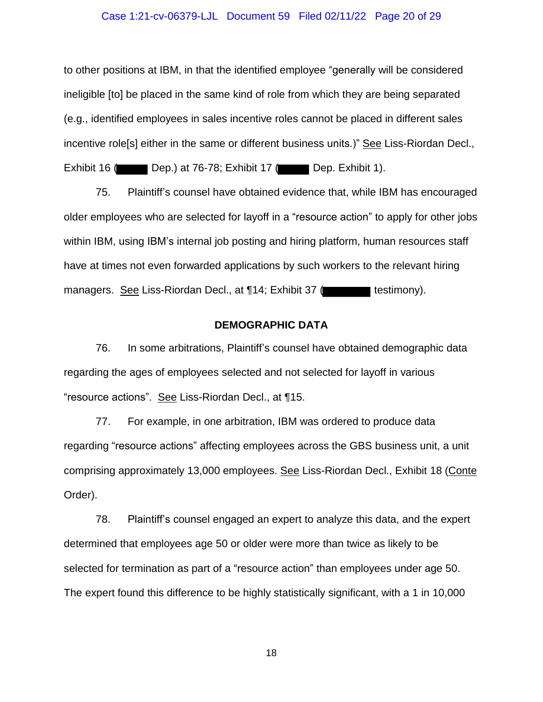#### Case 1:21-cv-06379-LJL Document 59 Filed 02/11/22 Page 20 of 29

to other positions at IBM, in that the identified employee "generally will be considered ineligible [to] be placed in the same kind of role from which they are being separated (e.g., identified employees in sales incentive roles cannot be placed in different sales incentive role[s] either in the same or different business units.)" See Liss-Riordan Decl.,

Exhibit 16 ( Dep.) at 76-78; Exhibit 17 ( Dep. Exhibit 1).

75. Plaintiff"s counsel have obtained evidence that, while IBM has encouraged older employees who are selected for layoff in a "resource action" to apply for other jobs within IBM, using IBM's internal job posting and hiring platform, human resources staff have at times not even forwarded applications by such workers to the relevant hiring managers. See Liss-Riordan Decl., at 114; Exhibit 37 (**the contact of the state of the contact of the contact of the contact of the contact of the contact of the contact of the contact of the contact of the contact of the** 

## **DEMOGRAPHIC DATA**

<span id="page-19-0"></span>76. In some arbitrations, Plaintiff"s counsel have obtained demographic data regarding the ages of employees selected and not selected for layoff in various "resource actions". See Liss-Riordan Decl., at ¶15.

77. For example, in one arbitration, IBM was ordered to produce data regarding "resource actions" affecting employees across the GBS business unit, a unit comprising approximately 13,000 employees. See Liss-Riordan Decl., Exhibit 18 (Conte Order).

78. Plaintiff"s counsel engaged an expert to analyze this data, and the expert determined that employees age 50 or older were more than twice as likely to be selected for termination as part of a "resource action" than employees under age 50. The expert found this difference to be highly statistically significant, with a 1 in 10,000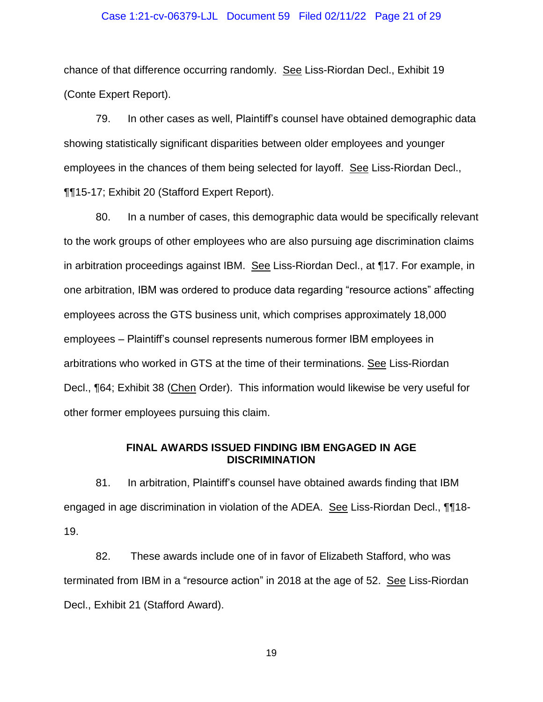#### Case 1:21-cv-06379-LJL Document 59 Filed 02/11/22 Page 21 of 29

chance of that difference occurring randomly. See Liss-Riordan Decl., Exhibit 19 (Conte Expert Report).

79. In other cases as well, Plaintiff"s counsel have obtained demographic data showing statistically significant disparities between older employees and younger employees in the chances of them being selected for layoff. See Liss-Riordan Decl., ¶¶15-17; Exhibit 20 (Stafford Expert Report).

80. In a number of cases, this demographic data would be specifically relevant to the work groups of other employees who are also pursuing age discrimination claims in arbitration proceedings against IBM. See Liss-Riordan Decl., at ¶17. For example, in one arbitration, IBM was ordered to produce data regarding "resource actions" affecting employees across the GTS business unit, which comprises approximately 18,000 employees – Plaintiff"s counsel represents numerous former IBM employees in arbitrations who worked in GTS at the time of their terminations. See Liss-Riordan Decl., ¶64; Exhibit 38 (Chen Order).This information would likewise be very useful for other former employees pursuing this claim.

#### **FINAL AWARDS ISSUED FINDING IBM ENGAGED IN AGE DISCRIMINATION**

<span id="page-20-0"></span>81. In arbitration, Plaintiff"s counsel have obtained awards finding that IBM engaged in age discrimination in violation of the ADEA. See Liss-Riordan Decl., ¶¶18- 19.

82. These awards include one of in favor of Elizabeth Stafford, who was terminated from IBM in a "resource action" in 2018 at the age of 52. See Liss-Riordan Decl., Exhibit 21 (Stafford Award).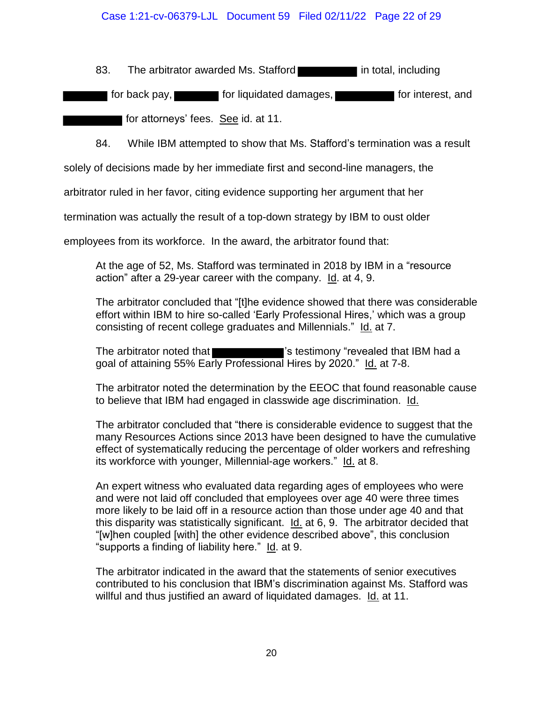## Case 1:21-cv-06379-LJL Document 59 Filed 02/11/22 Page 22 of 29

83. The arbitrator awarded Ms. Stafford **in the state in total, including** 

**for back pay, for liquidated damages, for interest, and for interest, and** 

for attorneys" fees. See id. at 11.

84. While IBM attempted to show that Ms. Stafford"s termination was a result

solely of decisions made by her immediate first and second-line managers, the

arbitrator ruled in her favor, citing evidence supporting her argument that her

termination was actually the result of a top-down strategy by IBM to oust older

employees from its workforce. In the award, the arbitrator found that:

At the age of 52, Ms. Stafford was terminated in 2018 by IBM in a "resource action" after a 29-year career with the company. Id. at 4, 9.

The arbitrator concluded that "[t]he evidence showed that there was considerable effort within IBM to hire so-called 'Early Professional Hires,' which was a group consisting of recent college graduates and Millennials." Id. at 7.

The arbitrator noted that **The state of the state of the state of the state of the state of the state of the state of the state of the state of the state of the state of the state of the state of the state of the state of** goal of attaining 55% Early Professional Hires by 2020." Id. at 7-8.

The arbitrator noted the determination by the EEOC that found reasonable cause to believe that IBM had engaged in classwide age discrimination. Id.

The arbitrator concluded that "there is considerable evidence to suggest that the many Resources Actions since 2013 have been designed to have the cumulative effect of systematically reducing the percentage of older workers and refreshing its workforce with younger, Millennial-age workers." Id. at 8.

An expert witness who evaluated data regarding ages of employees who were and were not laid off concluded that employees over age 40 were three times more likely to be laid off in a resource action than those under age 40 and that this disparity was statistically significant. Id. at 6, 9. The arbitrator decided that "[w]hen coupled [with] the other evidence described above", this conclusion "supports a finding of liability here." Id. at 9.

The arbitrator indicated in the award that the statements of senior executives contributed to his conclusion that IBM"s discrimination against Ms. Stafford was willful and thus justified an award of liquidated damages. Id. at 11.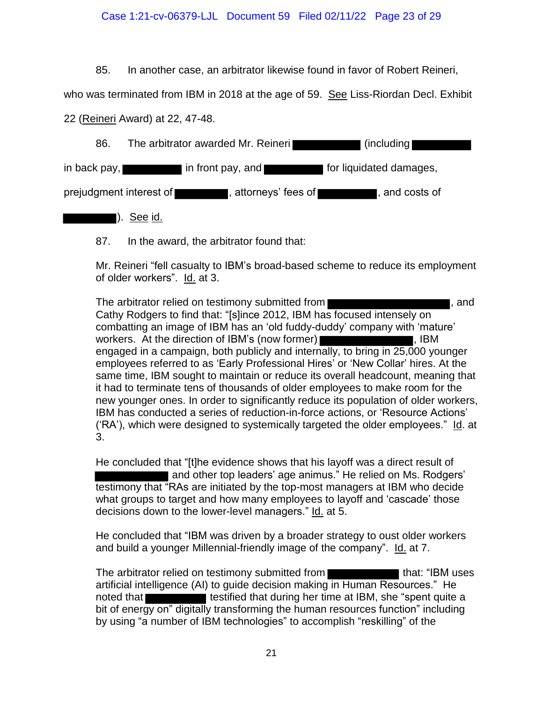## Case 1:21-cv-06379-LJL Document 59 Filed 02/11/22 Page 23 of 29

85. In another case, an arbitrator likewise found in favor of Robert Reineri,

who was terminated from IBM in 2018 at the age of 59. See Liss-Riordan Decl. Exhibit

22 (Reineri Award) at 22, 47-48.

| 86. |                                      | The arbitrator awarded Mr. Reineri  | $\mid$ (including       |  |
|-----|--------------------------------------|-------------------------------------|-------------------------|--|
|     | in back pay, <b>with the control</b> | $\blacksquare$ in front pay, and    | for liquidated damages, |  |
|     | prejudgment interest of              | , attorneys' fees of $\blacksquare$ | , and costs of          |  |

<u>). See id.</u>

87. In the award, the arbitrator found that:

Mr. Reineri "fell casualty to IBM"s broad-based scheme to reduce its employment of older workers". Id. at 3.

The arbitrator relied on testimony submitted from **The arbitrator relief on the state of the state of the state of the state of the state of the state of the state of the state of the state of the state of the state of the** Cathy Rodgers to find that: "[s]ince 2012, IBM has focused intensely on combatting an image of IBM has an "old fuddy-duddy" company with "mature" workers. At the direction of IBM's (now former) **was also assets that the set of the set of the set of the set o** engaged in a campaign, both publicly and internally, to bring in 25,000 younger employees referred to as "Early Professional Hires" or "New Collar" hires. At the same time, IBM sought to maintain or reduce its overall headcount, meaning that it had to terminate tens of thousands of older employees to make room for the new younger ones. In order to significantly reduce its population of older workers, IBM has conducted a series of reduction-in-force actions, or "Resource Actions" ("RA"), which were designed to systemically targeted the older employees." Id. at 3.

He concluded that "[t]he evidence shows that his layoff was a direct result of and other top leaders' age animus." He relied on Ms. Rodgers' testimony that "RAs are initiated by the top-most managers at IBM who decide what groups to target and how many employees to layoff and 'cascade' those decisions down to the lower-level managers." Id. at 5.

He concluded that "IBM was driven by a broader strategy to oust older workers and build a younger Millennial-friendly image of the company". Id. at 7.

The arbitrator relied on testimony submitted from the state of that: "IBM uses artificial intelligence (AI) to guide decision making in Human Resources." He noted that **that that is that that during her time at IBM**, she "spent quite a bit of energy on" digitally transforming the human resources function" including by using "a number of IBM technologies" to accomplish "reskilling" of the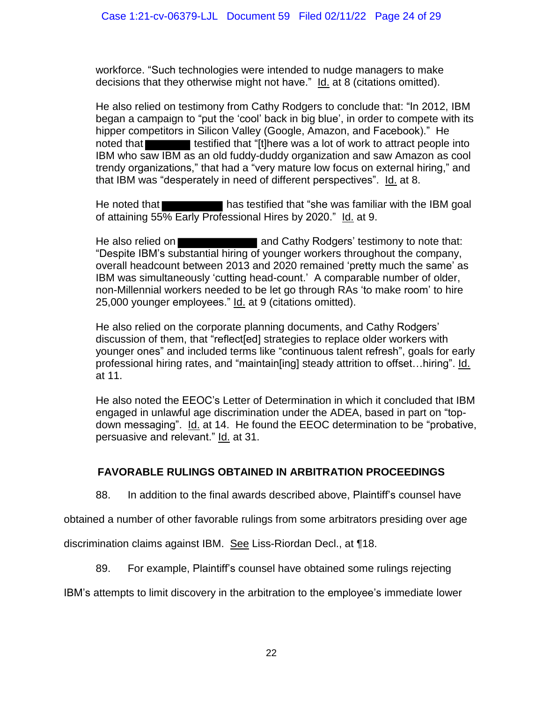workforce. "Such technologies were intended to nudge managers to make decisions that they otherwise might not have." Id. at 8 (citations omitted).

He also relied on testimony from Cathy Rodgers to conclude that: "In 2012, IBM began a campaign to "put the "cool" back in big blue", in order to compete with its hipper competitors in Silicon Valley (Google, Amazon, and Facebook)." He noted that **that inclusion** testified that "[t]here was a lot of work to attract people into IBM who saw IBM as an old fuddy-duddy organization and saw Amazon as cool trendy organizations," that had a "very mature low focus on external hiring," and that IBM was "desperately in need of different perspectives". Id. at 8.

He noted that **has testified that "she was familiar with the IBM goal** of attaining 55% Early Professional Hires by 2020." Id. at 9.

He also relied on **Alternative and Cathy Rodgers' testimony to note that:** "Despite IBM"s substantial hiring of younger workers throughout the company, overall headcount between 2013 and 2020 remained "pretty much the same" as IBM was simultaneously "cutting head-count." A comparable number of older, non-Millennial workers needed to be let go through RAs "to make room" to hire 25,000 younger employees." Id. at 9 (citations omitted).

He also relied on the corporate planning documents, and Cathy Rodgers" discussion of them, that "reflect[ed] strategies to replace older workers with younger ones" and included terms like "continuous talent refresh", goals for early professional hiring rates, and "maintain[ing] steady attrition to offset…hiring". Id. at 11.

He also noted the EEOC"s Letter of Determination in which it concluded that IBM engaged in unlawful age discrimination under the ADEA, based in part on "topdown messaging". Id. at 14. He found the EEOC determination to be "probative, persuasive and relevant." Id. at 31.

# <span id="page-23-0"></span>**FAVORABLE RULINGS OBTAINED IN ARBITRATION PROCEEDINGS**

88. In addition to the final awards described above, Plaintiff"s counsel have

obtained a number of other favorable rulings from some arbitrators presiding over age

discrimination claims against IBM. See Liss-Riordan Decl., at ¶18.

89. For example, Plaintiff"s counsel have obtained some rulings rejecting

IBM"s attempts to limit discovery in the arbitration to the employee"s immediate lower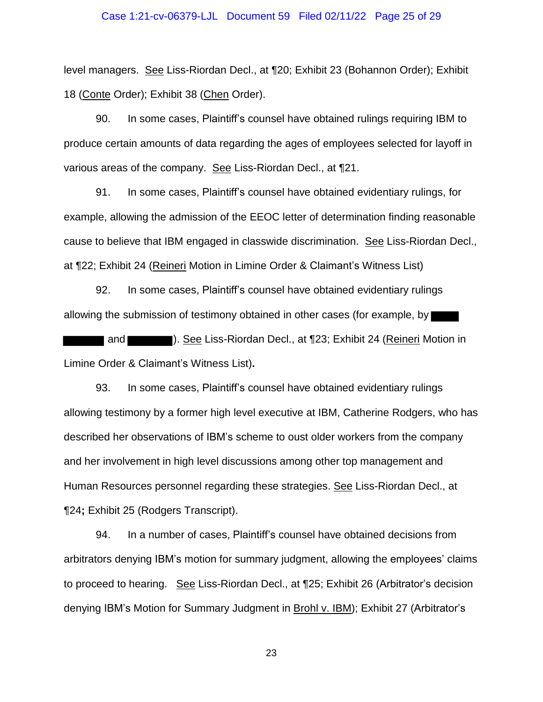#### Case 1:21-cv-06379-LJL Document 59 Filed 02/11/22 Page 25 of 29

level managers. See Liss-Riordan Decl., at ¶20; Exhibit 23 (Bohannon Order); Exhibit 18 (Conte Order); Exhibit 38 (Chen Order).

90. In some cases, Plaintiff"s counsel have obtained rulings requiring IBM to produce certain amounts of data regarding the ages of employees selected for layoff in various areas of the company. See Liss-Riordan Decl., at ¶21.

91. In some cases, Plaintiff"s counsel have obtained evidentiary rulings, for example, allowing the admission of the EEOC letter of determination finding reasonable cause to believe that IBM engaged in classwide discrimination. See Liss-Riordan Decl., at ¶22; Exhibit 24 (Reineri Motion in Limine Order & Claimant"s Witness List)

92. In some cases, Plaintiff"s counsel have obtained evidentiary rulings allowing the submission of testimony obtained in other cases (for example, by

 and ). See Liss-Riordan Decl., at ¶23; Exhibit 24 (Reineri Motion in Limine Order & Claimant"s Witness List)**.** 

93. In some cases, Plaintiff"s counsel have obtained evidentiary rulings allowing testimony by a former high level executive at IBM, Catherine Rodgers, who has described her observations of IBM"s scheme to oust older workers from the company and her involvement in high level discussions among other top management and Human Resources personnel regarding these strategies. See Liss-Riordan Decl., at ¶24**;** Exhibit 25 (Rodgers Transcript).

94. In a number of cases, Plaintiff"s counsel have obtained decisions from arbitrators denying IBM"s motion for summary judgment, allowing the employees" claims to proceed to hearing. See Liss-Riordan Decl., at 125; Exhibit 26 (Arbitrator's decision denying IBM"s Motion for Summary Judgment in Brohl v. IBM); Exhibit 27 (Arbitrator"s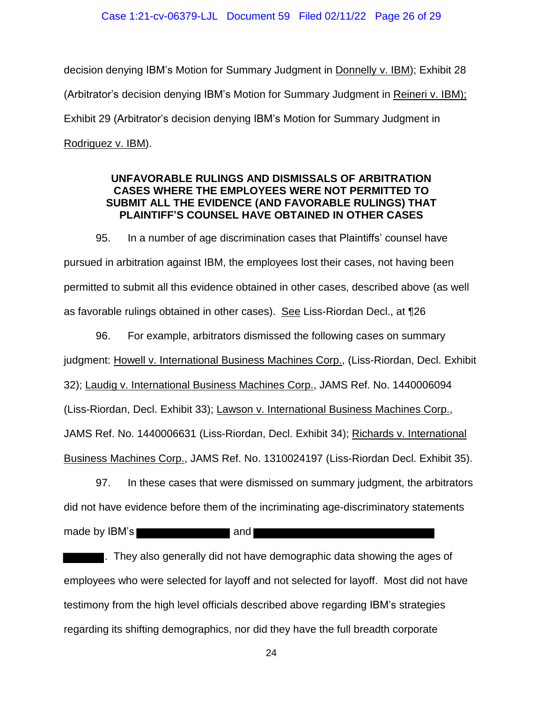#### Case 1:21-cv-06379-LJL Document 59 Filed 02/11/22 Page 26 of 29

decision denying IBM"s Motion for Summary Judgment in Donnelly v. IBM); Exhibit 28 (Arbitrator's decision denying IBM's Motion for Summary Judgment in Reineri v. IBM); Exhibit 29 (Arbitrator"s decision denying IBM"s Motion for Summary Judgment in Rodriguez v. IBM).

## <span id="page-25-0"></span>**UNFAVORABLE RULINGS AND DISMISSALS OF ARBITRATION CASES WHERE THE EMPLOYEES WERE NOT PERMITTED TO SUBMIT ALL THE EVIDENCE (AND FAVORABLE RULINGS) THAT PLAINTIFF'S COUNSEL HAVE OBTAINED IN OTHER CASES**

95. In a number of age discrimination cases that Plaintiffs" counsel have pursued in arbitration against IBM, the employees lost their cases, not having been permitted to submit all this evidence obtained in other cases, described above (as well as favorable rulings obtained in other cases). See Liss-Riordan Decl., at ¶26

96. For example, arbitrators dismissed the following cases on summary judgment: Howell v. International Business Machines Corp., (Liss-Riordan, Decl. Exhibit 32); Laudig v. International Business Machines Corp., JAMS Ref. No. 1440006094 (Liss-Riordan, Decl. Exhibit 33); Lawson v. International Business Machines Corp., JAMS Ref. No. 1440006631 (Liss-Riordan, Decl. Exhibit 34); Richards v. International Business Machines Corp., JAMS Ref. No. 1310024197 (Liss-Riordan Decl. Exhibit 35).

97. In these cases that were dismissed on summary judgment, the arbitrators did not have evidence before them of the incriminating age-discriminatory statements made by IBM's and The and

. They also generally did not have demographic data showing the ages of employees who were selected for layoff and not selected for layoff. Most did not have testimony from the high level officials described above regarding IBM"s strategies regarding its shifting demographics, nor did they have the full breadth corporate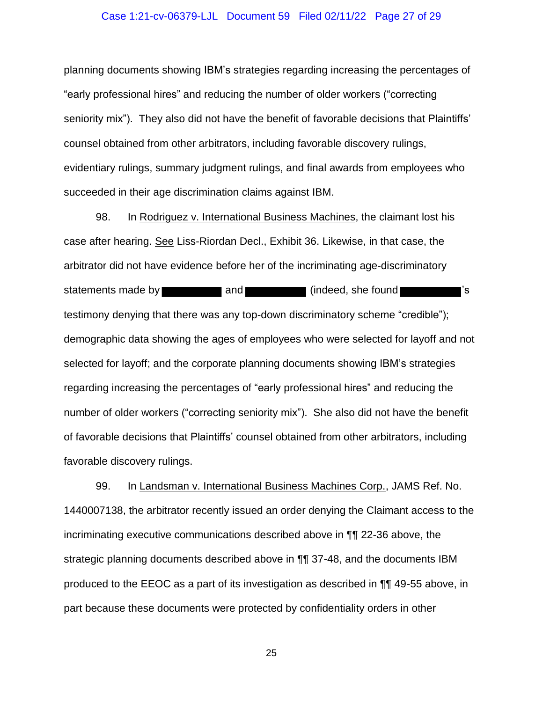#### Case 1:21-cv-06379-LJL Document 59 Filed 02/11/22 Page 27 of 29

planning documents showing IBM"s strategies regarding increasing the percentages of "early professional hires" and reducing the number of older workers ("correcting seniority mix"). They also did not have the benefit of favorable decisions that Plaintiffs" counsel obtained from other arbitrators, including favorable discovery rulings, evidentiary rulings, summary judgment rulings, and final awards from employees who succeeded in their age discrimination claims against IBM.

98. In Rodriguez v. International Business Machines, the claimant lost his case after hearing. See Liss-Riordan Decl., Exhibit 36. Likewise, in that case, the arbitrator did not have evidence before her of the incriminating age-discriminatory statements made by **and and statements made by and statements made in the statements of statements** is testimony denying that there was any top-down discriminatory scheme "credible"); demographic data showing the ages of employees who were selected for layoff and not selected for layoff; and the corporate planning documents showing IBM"s strategies regarding increasing the percentages of "early professional hires" and reducing the number of older workers ("correcting seniority mix"). She also did not have the benefit of favorable decisions that Plaintiffs" counsel obtained from other arbitrators, including favorable discovery rulings.

99. In Landsman v. International Business Machines Corp., JAMS Ref. No. 1440007138, the arbitrator recently issued an order denying the Claimant access to the incriminating executive communications described above in ¶¶ 22-36 above, the strategic planning documents described above in ¶¶ 37-48, and the documents IBM produced to the EEOC as a part of its investigation as described in ¶¶ 49-55 above, in part because these documents were protected by confidentiality orders in other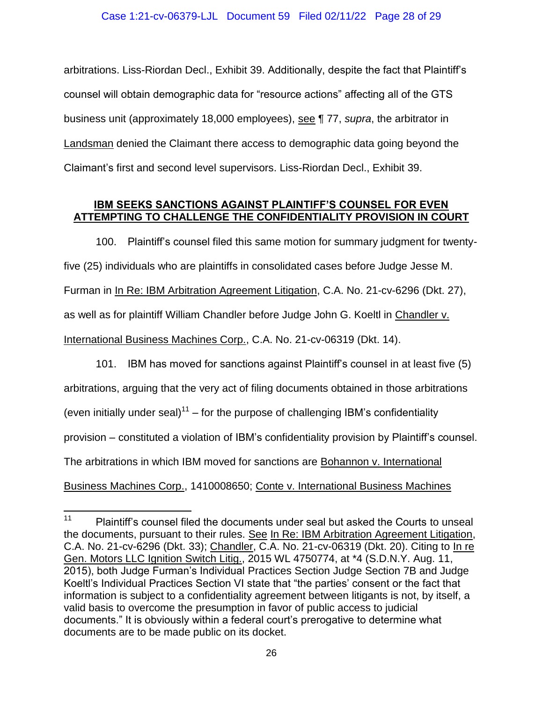arbitrations. Liss-Riordan Decl., Exhibit 39. Additionally, despite the fact that Plaintiff"s counsel will obtain demographic data for "resource actions" affecting all of the GTS business unit (approximately 18,000 employees), see ¶ 77, *supra*, the arbitrator in Landsman denied the Claimant there access to demographic data going beyond the Claimant"s first and second level supervisors. Liss-Riordan Decl., Exhibit 39.

## <span id="page-27-0"></span>**IBM SEEKS SANCTIONS AGAINST PLAINTIFF'S COUNSEL FOR EVEN ATTEMPTING TO CHALLENGE THE CONFIDENTIALITY PROVISION IN COURT**

100. Plaintiff"s counsel filed this same motion for summary judgment for twentyfive (25) individuals who are plaintiffs in consolidated cases before Judge Jesse M. Furman in In Re: IBM Arbitration Agreement Litigation, C.A. No. 21-cv-6296 (Dkt. 27), as well as for plaintiff William Chandler before Judge John G. Koeltl in Chandler v. International Business Machines Corp., C.A. No. 21-cv-06319 (Dkt. 14).

101. IBM has moved for sanctions against Plaintiff"s counsel in at least five (5) arbitrations, arguing that the very act of filing documents obtained in those arbitrations (even initially under seal)<sup>11</sup> – for the purpose of challenging IBM's confidentiality provision – constituted a violation of IBM"s confidentiality provision by Plaintiff"s counsel. The arbitrations in which IBM moved for sanctions are Bohannon v. International Business Machines Corp., 1410008650; Conte v. International Business Machines

 $11$ Plaintiff's counsel filed the documents under seal but asked the Courts to unseal the documents, pursuant to their rules. See In Re: IBM Arbitration Agreement Litigation, C.A. No. 21-cv-6296 (Dkt. 33); Chandler, C.A. No. 21-cv-06319 (Dkt. 20). Citing to In re Gen. Motors LLC Ignition Switch Litig., 2015 WL 4750774, at \*4 (S.D.N.Y. Aug. 11, 2015), both Judge Furman"s Individual Practices Section Judge Section 7B and Judge Koeltl"s Individual Practices Section VI state that "the parties" consent or the fact that information is subject to a confidentiality agreement between litigants is not, by itself, a valid basis to overcome the presumption in favor of public access to judicial documents." It is obviously within a federal court"s prerogative to determine what documents are to be made public on its docket.